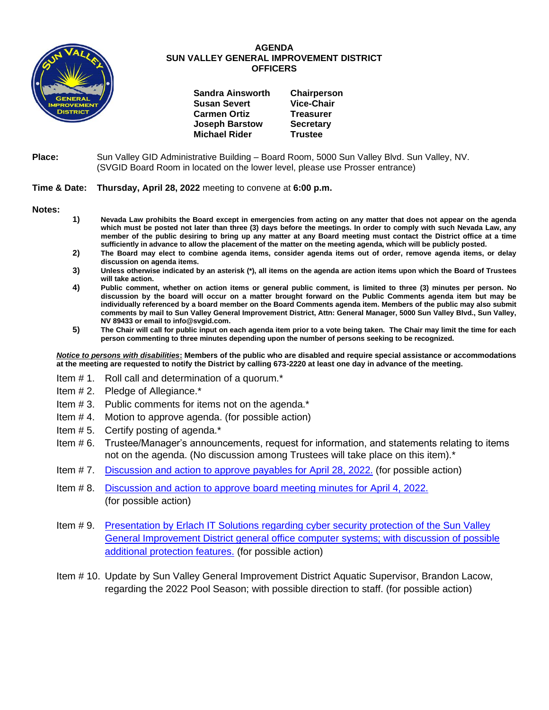

### **AGENDA SUN VALLEY GENERAL IMPROVEMENT DISTRICT OFFICERS**

| <b>Sandra Ainsworth</b> | Chairperson       |
|-------------------------|-------------------|
| <b>Susan Severt</b>     | <b>Vice-Chair</b> |
| <b>Carmen Ortiz</b>     | <b>Treasurer</b>  |
| <b>Joseph Barstow</b>   | <b>Secretary</b>  |
| <b>Michael Rider</b>    | <b>Trustee</b>    |

### **Place:** Sun Valley GID Administrative Building – Board Room, 5000 Sun Valley Blvd. Sun Valley, NV. (SVGID Board Room in located on the lower level, please use Prosser entrance)

### **Time & Date: Thursday, April 28, 2022** meeting to convene at **6:00 p.m.**

**Notes:**

- **1) Nevada Law prohibits the Board except in emergencies from acting on any matter that does not appear on the agenda which must be posted not later than three (3) days before the meetings. In order to comply with such Nevada Law, any member of the public desiring to bring up any matter at any Board meeting must contact the District office at a time sufficiently in advance to allow the placement of the matter on the meeting agenda, which will be publicly posted.**
- **2) The Board may elect to combine agenda items, consider agenda items out of order, remove agenda items, or delay discussion on agenda items.**
- **3) Unless otherwise indicated by an asterisk (\*), all items on the agenda are action items upon which the Board of Trustees will take action.**
- **4) Public comment, whether on action items or general public comment, is limited to three (3) minutes per person. No discussion by the board will occur on a matter brought forward on the Public Comments agenda item but may be individually referenced by a board member on the Board Comments agenda item. Members of the public may also submit comments by mail to Sun Valley General Improvement District, Attn: General Manager, 5000 Sun Valley Blvd., Sun Valley, NV 89433 or email to info@svgid.com.**
- **5) The Chair will call for public input on each agenda item prior to a vote being taken. The Chair may limit the time for each person commenting to three minutes depending upon the number of persons seeking to be recognized.**

*Notice to persons with disabilities***: Members of the public who are disabled and require special assistance or accommodations at the meeting are requested to notify the District by calling 673-2220 at least one day in advance of the meeting.**

- Item # 1. Roll call and determination of a quorum.\*
- Item # 2. Pledge of Allegiance.\*
- Item # 3. Public comments for items not on the agenda.\*
- Item # 4. Motion to approve agenda. (for possible action)
- Item # 5. Certify posting of agenda.\*
- Item # 6. Trustee/Manager's announcements, request for information, and statements relating to items not on the agenda. (No discussion among Trustees will take place on this item).\*
- Item # 7. [Discussion and action to approve payables](https://www.svgid.com/wp-content/uploads/042822_AgendaItem07.pdf) for April 28, 2022. (for possible action)
- Item # 8. [Discussion and action to approve board meeting minutes for](https://www.svgid.com/wp-content/uploads/042822_AgendaItem08.pdf) April 4, 2022. (for possible action)
- Item # 9. Presentation by Erlach IT Solutions [regarding cyber security protection of the Sun Valley](https://www.svgid.com/wp-content/uploads/042822_AgendaItem09.pdf)  General Improvement District general office [computer systems; with discussion of possible](https://www.svgid.com/wp-content/uploads/042822_AgendaItem09.pdf)  [additional protection features.](https://www.svgid.com/wp-content/uploads/042822_AgendaItem09.pdf) (for possible action)
- Item # 10. Update by Sun Valley General Improvement District Aquatic Supervisor, Brandon Lacow, regarding the 2022 Pool Season; with possible direction to staff. (for possible action)